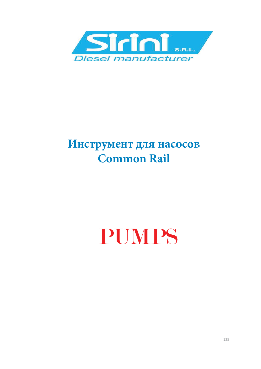

# **Инструмент для насосов Common Rail**

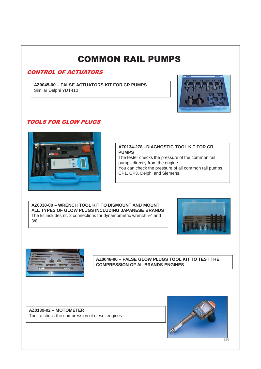#### CONTROL OF ACTUATORS

**AZ0045-00 – FALSE ACTUATORS KIT FOR CR PUMPS** Similar Delphi YDT410



#### **TOOLS FOR GLOW PLUGS**



#### **AZ0134-278 –DIAGNOSTIC TOOL KIT FOR CR PUMPS**

The tester checks the pressure of the common rail pumps directly from the engine. You can check the pressure of all common rail pumps CP1, CP3, Delphi and Siemens.

**AZ0038-00 – WRENCH TOOL KIT TO DISMOUNT AND MOUNT ALL TYPES OF GLOW PLUGS INCLUDING JAPANESE BRANDS** The kit includes nr. 2 connections for dynamometric wrench ½" and 3/8





**AZ0046-00 – FALSE GLOW PLUGS TOOL KIT TO TEST THE COMPRESSION OF AL BRANDS ENGINES**

**AZ0139-02 – MOTOMETER** Tool to check the compression of diesel engines

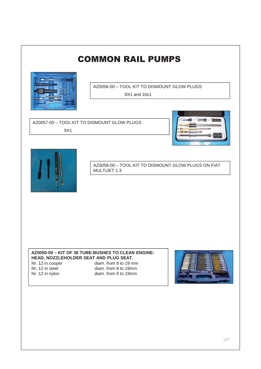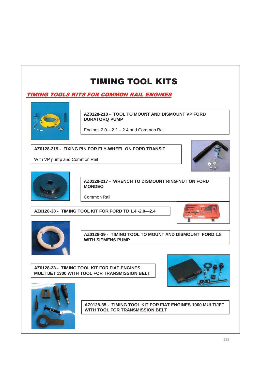**TIMING TOOLS KITS FOR COMMON RAIL ENGINES** 



**AZ0128-218 - TOOL TO MOUNT AND DISMOUNT VP FORD DURATORQ PUMP**

Engines  $2.0 - 2.2 - 2.4$  and Common Rail

#### **AZ0128-219 - FIXING PIN FOR FLY-WHEEL ON FORD TRANSIT**

With VP pump and Common Rail





**AZ0128-217 - WRENCH TO DISMOUNT RING-NUT ON FORD MONDEO**

Common Rail

**AZ0128-38 - TIMING TOOL KIT FOR FORD TD 1.4 -2.0—2.4**





**AZ0128-39 - TIMING TOOL TO MOUNT AND DISMOUNT FORD 1.8 WITH SIEMENS PUMP**

**AZ0128-28 - TIMING TOOL KIT FOR FIAT ENGINES MULTIJET 1300 WITH TOOL FOR TRANSMISSION BELT**





**AZ0128-35 - TIMING TOOL KIT FOR FIAT ENGINES 1900 MULTIJET WITH TOOL FOR TRANSMISSION BELT**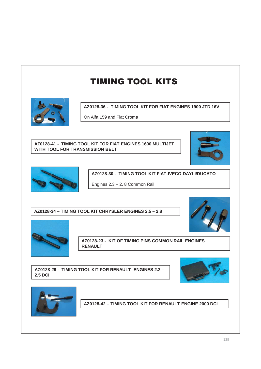

**AZ0128-36 - TIMING TOOL KIT FOR FIAT ENGINES 1900 JTD 16V**

On Alfa 159 and Fiat Croma

#### **AZ0128-41 - TIMING TOOL KIT FOR FIAT ENGINES 1600 MULTIJET WITH TOOL FOR TRANSMISSION BELT**





**AZ0128-30 - TIMING TOOL KIT FIAT-IVECO DAYLI/DUCATO** 

Engines 2.3 – 2. 8 Common Rail

**AZ0128-34 – TIMING TOOL KIT CHRYSLER ENGINES 2.5 – 2.8**





**AZ0128-23 - KIT OF TIMING PINS COMMON RAIL ENGINES RENAULT**

**AZ0128-29 - TIMING TOOL KIT FOR RENAULT ENGINES 2.2 – 2.5 DCI**





**AZ0128-42 – TIMING TOOL KIT FOR RENAULT ENGINE 2000 DCI**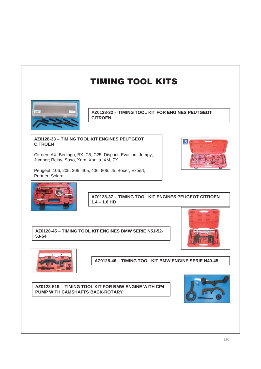

**AZ0128-32 - TIMING TOOL KIT FOR ENGINES PEUTGEOT CITROEN** 

#### **AZ0128-33 – TIMING TOOL KIT ENGINES PEUTGEOT CITROEN**

Citroen: AX, Berlingo, BX, C5, C25, Dispact, Evasion, Jumpy, Jumper; Relay, Saxo, Xara, Xantia, XM, ZX.

Peugeot: 106, 205, 306, 405, 406, 806, J5, Boxer, Expert, Partner; Solara.





**AZ0128-37 - TIMING TOOL KIT ENGINES PEUGEOT CITROEN 1.4 – 1.6 HD**

**AZ0128-45 – TIMING TOOL KIT ENGINES BMW SERIE N51-52- 53-54**





**AZ0128-46 – TIMING TOOL KIT BMW ENGINE SERIE N40-45**

**AZ0128-519 - TIMING TOOL KIT FOR BMW ENGINE WITH CP4 PUMP WITH CAMSHAFTS BACK-ROTARY**

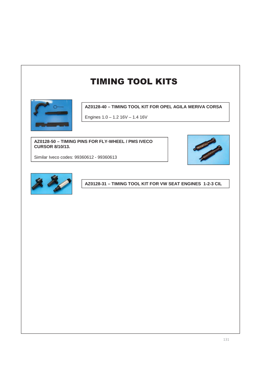

**AZ0128-40 – TIMING TOOL KIT FOR OPEL AGILA MERIVA CORSA**

Engines 1.0 – 1.2 16V – 1.4 16V

**AZ0128-50 – TIMING PINS FOR FLY-WHEEL / PMS IVECO CURSOR 8/10/13.**



Similar Iveco codes: 99360612 - 99360613



**AZ0128-31 – TIMING TOOL KIT FOR VW SEAT ENGINES 1-2-3 CIL**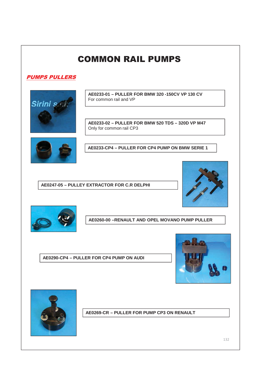#### **PUMPS PULLERS**



**AE0233-01 – PULLER FOR BMW 320 -150CV VP 130 CV**  For common rail and VP

**AE0233-02 – PULLER FOR BMW 520 TDS – 320D VP M47** Only for common rail CP3



**AE0233-CP4 – PULLER FOR CP4 PUMP ON BMW SERIE 1**

**AE0247-05 – PULLEY EXTRACTOR FOR C.R DELPHI** 





**AE0260-00 –RENAULT AND OPEL MOVANO PUMP PULLER**

**AE0290-CP4 – PULLER FOR CP4 PUMP ON AUDI**





**AE0269-CR – PULLER FOR PUMP CP3 ON RENAULT**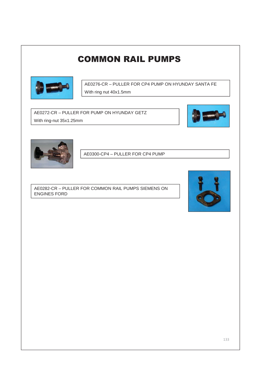

AE0276-CR – PULLER FOR CP4 PUMP ON HYUNDAY SANTA FE With ring nut 40x1.5mm

AE0272-CR – PULLER FOR PUMP ON HYUNDAY GETZ With ring-nut 35x1.25mm





AE0300-CP4 – PULLER FOR CP4 PUMP

AE0282-CR – PULLER FOR COMMON RAIL PUMPS SIEMENS ON ENGINES FORD

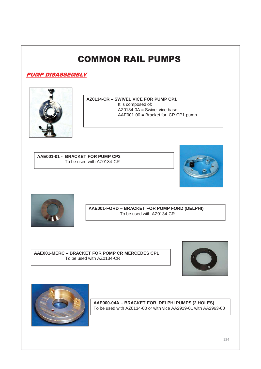**PUMP DISASSEMBLY** 



**AZ0134-CR – SWIVEL VICE FOR PUMP CP1** It is composed of:  $AZ0134-0A =$  Swivel vice base AAE001-00 = Bracket for CR CP1 pump

**AAE001-01 - BRACKET FOR PUMP CP3** To be used with AZ0134-CR





**AAE001-FORD – BRACKET FOR POMP FORD (DELPHI)** To be used with AZ0134-CR

**AAE001-MERC – BRACKET FOR POMP CR MERCEDES CP1** To be used with AZ0134-CR





**AAE000-04A – BRACKET FOR DELPHI PUMPS (2 HOLES)** To be used with AZ0134-00 or with vice AA2919-01 with AA2963-00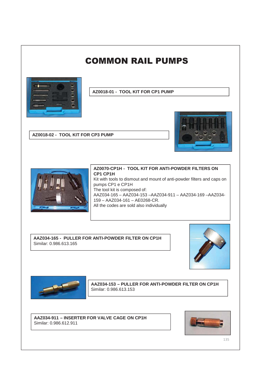

**AZ0018-01 - TOOL KIT FOR CP1 PUMP**

**AZ0018-02 - TOOL KIT FOR CP3 PUMP**



**AZ0070-CP1H - TOOL KIT FOR ANTI-POWDER FILTERS ON CP1 CP1H** Kit with tools to dismout and mount of anti-powder filters and caps on pumps CP1 e CP1H The tool kit is composed of: AAZ034-165 – AAZ034-153 –AAZ034-911 – AAZ034-169 –AAZ034- 159 – AAZ034-161 – AE0268-CR. All the codes are sold also individually

**AAZ034-165 - PULLER FOR ANTI-POWDER FILTER ON CP1H** Similar: 0.986.613.165





**AAZ034-153 – PULLER FOR ANTI-POWDER FILTER ON CP1H** Similar: 0.986.613.153

**AAZ034-911 – INSERTER FOR VALVE CAGE ON CP1H** Similar: 0.986.612.911

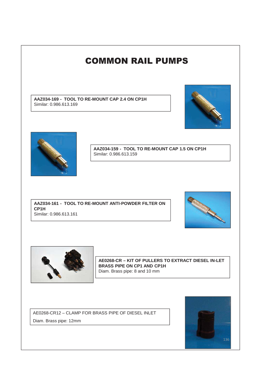

AE0268-CR12 – CLAMP FOR BRASS PIPE OF DIESEL INLET Diam. Brass pipe: 12mm

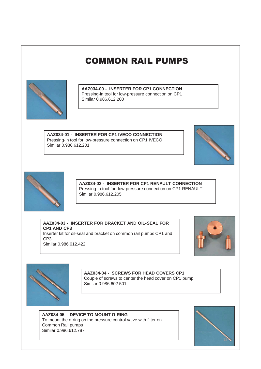

**AAZ034-00 - INSERTER FOR CP1 CONNECTION** Pressing-in tool for low-pressure connection on CP1 Similar 0.986.612.200

**AAZ034-01 - INSERTER FOR CP1 IVECO CONNECTION** Pressing-in tool for low-pressure connection on CP1 IVECO Similar 0.986.612.201





**AAZ034-02 - INSERTER FOR CP1 RENAULT CONNECTION** Pressing-in tool for low-pressure connection on CP1 RENAULT Similar 0.986.612.205

**AAZ034-03 - INSERTER FOR BRACKET AND OIL-SEAL FOR CP1 AND CP3** Inserter kit for oil-seal and bracket on common rail pumps CP1 and CP3

Similar 0.986.612.422





**AAZ034-04 - SCREWS FOR HEAD COVERS CP1** Couple of screws to center the head cover on CP1 pump Similar 0.986.602.501

**AAZ034-05 - DEVICE TO MOUNT O-RING** To mount the o-ring on the pressure control valve with filter on Common Rail pumps Similar 0.986.612.787

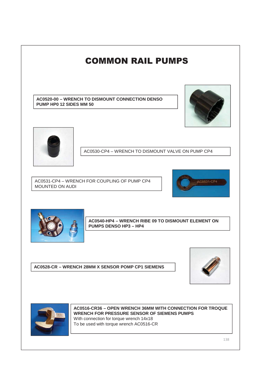



**AC0516-CR36 – OPEN WRENCH 36MM WITH CONNECTION FOR TROQUE WRENCH FOR PRESSURE SENSOR OF SIEMENS PUMPS** With connection for torque wrench 14x18 To be used with torque wrench AC0516-CR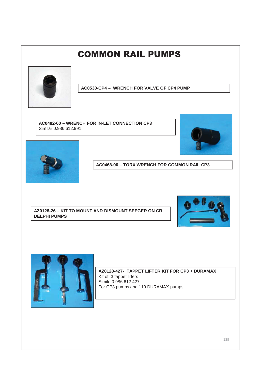

**AC0530-CP4 – WRENCH FOR VALVE OF CP4 PUMP**

**AC0482-00 – WRENCH FOR IN-LET CONNECTION CP3** Similar 0.986.612.991





**AC0468-00 – TORX WRENCH FOR COMMON RAIL CP3**

**AZ0128-26 – KIT TO MOUNT AND DISMOUNT SEEGER ON CR DELPHI PUMPS**





**AZ0128-427- TAPPET LIFTER KIT FOR CP3 + DURAMAX** Kit of 3 tappet lifters Simile 0.986.612.427 For CP3 pumps and 110 DURAMAX pumps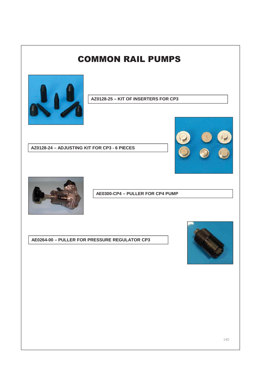

**AZ0128-25 – KIT OF INSERTERS FOR CP3**

**AZ0128-24 – ADJUSTING KIT FOR CP3 - 6 PIECES**





**AE0300-CP4 – PULLER FOR CP4 PUMP**

**AE0264-00 – PULLER FOR PRESSURE REGULATOR CP3**

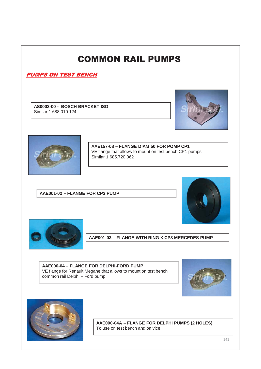#### **PUMPS ON TEST BENCH**

**AS0003-00 - BOSCH BRACKET ISO** Similar 1.688.010.124





**AAE157-08 – FLANGE DIAM 50 FOR POMP CP1** VE flange that allows to mount on test bench CP1 pumps Similar 1.685.720.062

**AAE001-02 – FLANGE FOR CP3 PUMP**





**AAE001-03 – FLANGE WITH RING X CP3 MERCEDES PUMP**

**AAE000-04 – FLANGE FOR DELPHI-FORD PUMP** VE flange for Renault Megane that allows to mount on test bench common rail Delphi – Ford pump





**AAE000-04A – FLANGE FOR DELPHI PUMPS (2 HOLES)** To use on test bench and on vice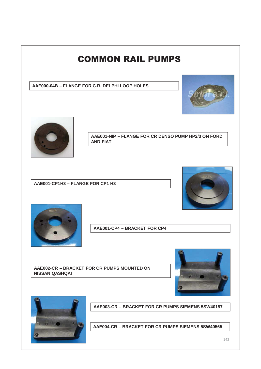



**AAE003-CR – BRACKET FOR CR PUMPS SIEMENS 5SW40157**

**AAE004-CR – BRACKET FOR CR PUMPS SIEMENS 5SW40565**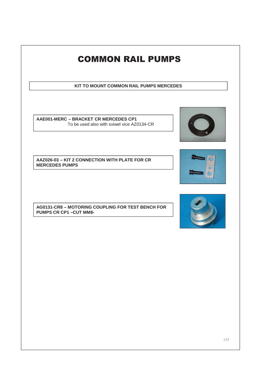# **COMMON RAIL PUMPS KIT TO MOUNT COMMON RAIL PUMPS MERCEDES AAE001-MERC – BRACKET CR MERCEDES CP1** To be used also with sviwel vice AZ0134-CR **AAZ026-03 – KIT 2 CONNECTION WITH PLATE FOR CR**   $\epsilon$ **MERCEDES PUMPS AG0131-CR8 – MOTORING COUPLING FOR TEST BENCH FOR PUMPS CR CP1 –CUT MM8-**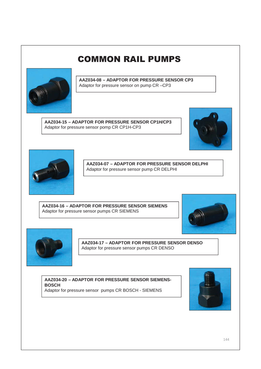

**AAZ034-08 – ADAPTOR FOR PRESSURE SENSOR CP3** Adaptor for pressure sensor on pump CR –CP3

**AAZ034-15 – ADAPTOR FOR PRESSURE SENSOR CP1H/CP3** Adaptor for pressure sensor pomp CR CP1H-CP3





**AAZ034-07 – ADAPTOR FOR PRESSURE SENSOR DELPHI** Adaptor for pressure sensor pump CR DELPHI

**AAZ034-16 – ADAPTOR FOR PRESSURE SENSOR SIEMENS** Adaptor for pressure sensor pumps CR SIEMENS





**AAZ034-17 – ADAPTOR FOR PRESSURE SENSOR DENSO** Adaptor for pressure sensor pumps CR DENSO

**AAZ034-20 – ADAPTOR FOR PRESSURE SENSOR SIEMENS-BOSCH** Adaptor for pressure sensor pumps CR BOSCH - SIEMENS

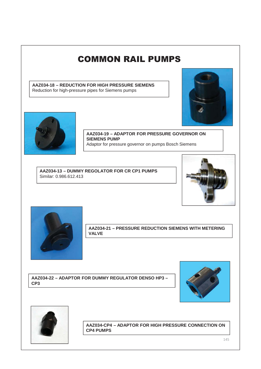**AAZ034-18 – REDUCTION FOR HIGH PRESSURE SIEMENS** Reduction for high-pressure pipes for Siemens pumps





**AAZ034-19 – ADAPTOR FOR PRESSURE GOVERNOR ON SIEMENS PUMP** Adaptor for pressure governor on pumps Bosch Siemens

**AAZ034-13 – DUMMY REGOLATOR FOR CR CP1 PUMPS** Similar: 0.986.612.413





**AAZ034-21 – PRESSURE REDUCTION SIEMENS WITH METERING VALVE**

**AAZ034-22 – ADAPTOR FOR DUMMY REGULATOR DENSO HP3 – CP3**





**AAZ034-CP4 – ADAPTOR FOR HIGH PRESSURE CONNECTION ON CP4 PUMPS**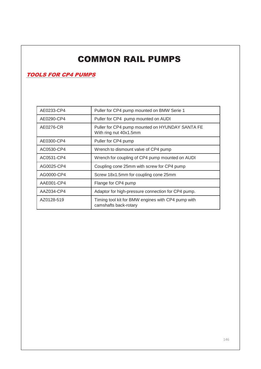#### **TOOLS FOR CP4 PUMPS**

| AE0233-CP4 | Puller for CP4 pump mounted on BMW Serie 1                                  |
|------------|-----------------------------------------------------------------------------|
| AE0290-CP4 | Puller for CP4 pump mounted on AUDI                                         |
| AE0276-CR  | Puller for CP4 pump mounted on HYUNDAY SANTA FE<br>With ring nut 40x1.5mm   |
| AE0300-CP4 | Puller for CP4 pump                                                         |
| AC0530-CP4 | Wrench to dismount valve of CP4 pump                                        |
| AC0531-CP4 | Wrench for coupling of CP4 pump mounted on AUDI                             |
| AG0025-CP4 | Coupling cone 25mm with screw for CP4 pump                                  |
| AG0000-CP4 | Screw 18x1.5mm for coupling cone 25mm                                       |
| AAE001-CP4 | Flange for CP4 pump                                                         |
| AAZ034-CP4 | Adaptor for high-pressure connection for CP4 pump.                          |
| AZ0128-519 | Timing tool kit for BMW engines with CP4 pump with<br>camshafts back-rotary |